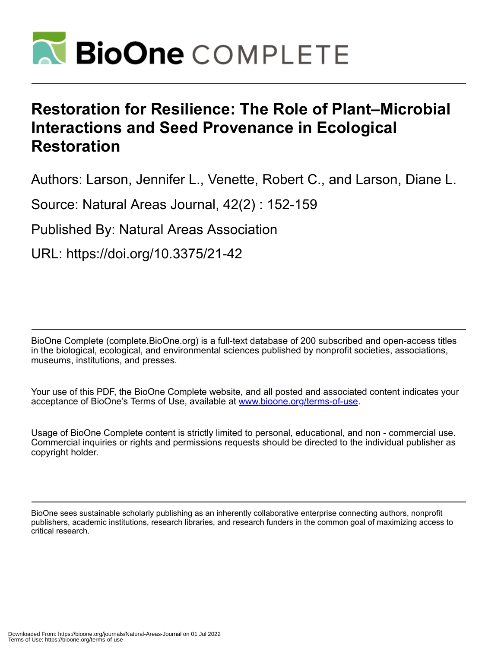

# **Restoration for Resilience: The Role of Plant–Microbial Interactions and Seed Provenance in Ecological Restoration**

Authors: Larson, Jennifer L., Venette, Robert C., and Larson, Diane L.

Source: Natural Areas Journal, 42(2) : 152-159

Published By: Natural Areas Association

URL: https://doi.org/10.3375/21-42

BioOne Complete (complete.BioOne.org) is a full-text database of 200 subscribed and open-access titles in the biological, ecological, and environmental sciences published by nonprofit societies, associations, museums, institutions, and presses.

Your use of this PDF, the BioOne Complete website, and all posted and associated content indicates your acceptance of BioOne's Terms of Use, available at www.bioone.org/terms-of-use.

Usage of BioOne Complete content is strictly limited to personal, educational, and non - commercial use. Commercial inquiries or rights and permissions requests should be directed to the individual publisher as copyright holder.

BioOne sees sustainable scholarly publishing as an inherently collaborative enterprise connecting authors, nonprofit publishers, academic institutions, research libraries, and research funders in the common goal of maximizing access to critical research.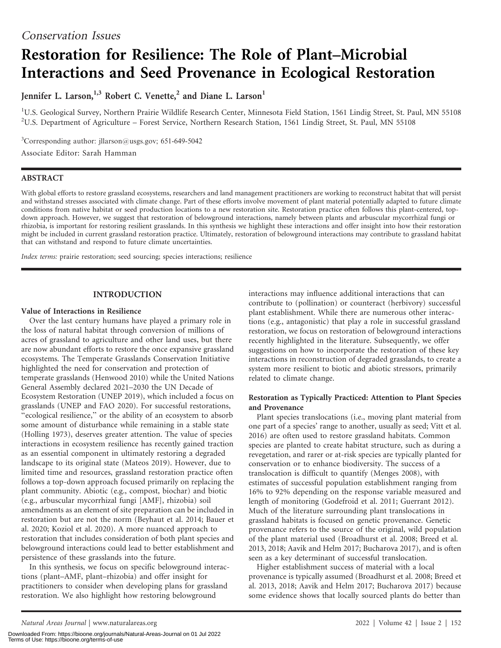# Restoration for Resilience: The Role of Plant–Microbial Interactions and Seed Provenance in Ecological Restoration

Jennifer L. Larson,<sup>1,3</sup> Robert C. Venette,<sup>2</sup> and Diane L. Larson<sup>1</sup>

<sup>1</sup>U.S. Geological Survey, Northern Prairie Wildlife Research Center, Minnesota Field Station, 1561 Lindig Street, St. Paul, MN 55108 2 U.S. Department of Agriculture – Forest Service, Northern Research Station, 1561 Lindig Street, St. Paul, MN 55108

<sup>3</sup>Corresponding author: jllarson@usgs.gov; 651-649-5042

Associate Editor: Sarah Hamman

## ABSTRACT

With global efforts to restore grassland ecosystems, researchers and land management practitioners are working to reconstruct habitat that will persist and withstand stresses associated with climate change. Part of these efforts involve movement of plant material potentially adapted to future climate conditions from native habitat or seed production locations to a new restoration site. Restoration practice often follows this plant-centered, topdown approach. However, we suggest that restoration of belowground interactions, namely between plants and arbuscular mycorrhizal fungi or rhizobia, is important for restoring resilient grasslands. In this synthesis we highlight these interactions and offer insight into how their restoration might be included in current grassland restoration practice. Ultimately, restoration of belowground interactions may contribute to grassland habitat that can withstand and respond to future climate uncertainties.

Index terms: prairie restoration; seed sourcing; species interactions; resilience

## INTRODUCTION

## Value of Interactions in Resilience

Over the last century humans have played a primary role in the loss of natural habitat through conversion of millions of acres of grassland to agriculture and other land uses, but there are now abundant efforts to restore the once expansive grassland ecosystems. The Temperate Grasslands Conservation Initiative highlighted the need for conservation and protection of temperate grasslands (Henwood 2010) while the United Nations General Assembly declared 2021–2030 the UN Decade of Ecosystem Restoration (UNEP 2019), which included a focus on grasslands (UNEP and FAO 2020). For successful restorations, ''ecological resilience,'' or the ability of an ecosystem to absorb some amount of disturbance while remaining in a stable state (Holling 1973), deserves greater attention. The value of species interactions in ecosystem resilience has recently gained traction as an essential component in ultimately restoring a degraded landscape to its original state (Mateos 2019). However, due to limited time and resources, grassland restoration practice often follows a top-down approach focused primarily on replacing the plant community. Abiotic (e.g., compost, biochar) and biotic (e.g., arbuscular mycorrhizal fungi [AMF], rhizobia) soil amendments as an element of site preparation can be included in restoration but are not the norm (Beyhaut et al. 2014; Bauer et al. 2020; Koziol et al. 2020). A more nuanced approach to restoration that includes consideration of both plant species and belowground interactions could lead to better establishment and persistence of these grasslands into the future.

In this synthesis, we focus on specific belowground interactions (plant–AMF, plant–rhizobia) and offer insight for practitioners to consider when developing plans for grassland restoration. We also highlight how restoring belowground

interactions may influence additional interactions that can contribute to (pollination) or counteract (herbivory) successful plant establishment. While there are numerous other interactions (e.g., antagonistic) that play a role in successful grassland restoration, we focus on restoration of belowground interactions recently highlighted in the literature. Subsequently, we offer suggestions on how to incorporate the restoration of these key interactions in reconstruction of degraded grasslands, to create a system more resilient to biotic and abiotic stressors, primarily related to climate change.

## Restoration as Typically Practiced: Attention to Plant Species and Provenance

Plant species translocations (i.e., moving plant material from one part of a species' range to another, usually as seed; Vitt et al. 2016) are often used to restore grassland habitats. Common species are planted to create habitat structure, such as during a revegetation, and rarer or at-risk species are typically planted for conservation or to enhance biodiversity. The success of a translocation is difficult to quantify (Menges 2008), with estimates of successful population establishment ranging from 16% to 92% depending on the response variable measured and length of monitoring (Godefroid et al. 2011; Guerrant 2012). Much of the literature surrounding plant translocations in grassland habitats is focused on genetic provenance. Genetic provenance refers to the source of the original, wild population of the plant material used (Broadhurst et al. 2008; Breed et al. 2013, 2018; Aavik and Helm 2017; Bucharova 2017), and is often seen as a key determinant of successful translocation.

Higher establishment success of material with a local provenance is typically assumed (Broadhurst et al. 2008; Breed et al. 2013, 2018; Aavik and Helm 2017; Bucharova 2017) because some evidence shows that locally sourced plants do better than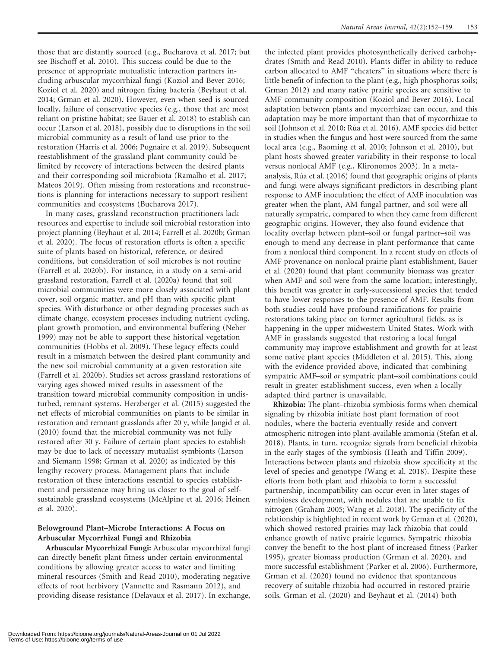those that are distantly sourced (e.g., Bucharova et al. 2017; but see Bischoff et al. 2010). This success could be due to the presence of appropriate mutualistic interaction partners including arbuscular mycorrhizal fungi (Koziol and Bever 2016; Koziol et al. 2020) and nitrogen fixing bacteria (Beyhaut et al. 2014; Grman et al. 2020). However, even when seed is sourced locally, failure of conservative species (e.g., those that are most reliant on pristine habitat; see Bauer et al. 2018) to establish can occur (Larson et al. 2018), possibly due to disruptions in the soil microbial community as a result of land use prior to the restoration (Harris et al. 2006; Pugnaire et al. 2019). Subsequent reestablishment of the grassland plant community could be limited by recovery of interactions between the desired plants and their corresponding soil microbiota (Ramalho et al. 2017; Mateos 2019). Often missing from restorations and reconstructions is planning for interactions necessary to support resilient communities and ecosystems (Bucharova 2017).

In many cases, grassland reconstruction practitioners lack resources and expertise to include soil microbial restoration into project planning (Beyhaut et al. 2014; Farrell et al. 2020b; Grman et al. 2020). The focus of restoration efforts is often a specific suite of plants based on historical, reference, or desired conditions, but consideration of soil microbes is not routine (Farrell et al. 2020b). For instance, in a study on a semi-arid grassland restoration, Farrell et al. (2020a) found that soil microbial communities were more closely associated with plant cover, soil organic matter, and pH than with specific plant species. With disturbance or other degrading processes such as climate change, ecosystem processes including nutrient cycling, plant growth promotion, and environmental buffering (Neher 1999) may not be able to support these historical vegetation communities (Hobbs et al. 2009). These legacy effects could result in a mismatch between the desired plant community and the new soil microbial community at a given restoration site (Farrell et al. 2020b). Studies set across grassland restorations of varying ages showed mixed results in assessment of the transition toward microbial community composition in undisturbed, remnant systems. Herzberger et al. (2015) suggested the net effects of microbial communities on plants to be similar in restoration and remnant grasslands after 20 y, while Jangid et al. (2010) found that the microbial community was not fully restored after 30 y. Failure of certain plant species to establish may be due to lack of necessary mutualist symbionts (Larson and Siemann 1998; Grman et al. 2020) as indicated by this lengthy recovery process. Management plans that include restoration of these interactions essential to species establishment and persistence may bring us closer to the goal of selfsustainable grassland ecosystems (McAlpine et al. 2016; Heinen et al. 2020).

## Belowground Plant–Microbe Interactions: A Focus on Arbuscular Mycorrhizal Fungi and Rhizobia

Arbuscular Mycorrhizal Fungi: Arbuscular mycorrhizal fungi can directly benefit plant fitness under certain environmental conditions by allowing greater access to water and limiting mineral resources (Smith and Read 2010), moderating negative effects of root herbivory (Vannette and Rasmann 2012), and providing disease resistance (Delavaux et al. 2017). In exchange,

the infected plant provides photosynthetically derived carbohydrates (Smith and Read 2010). Plants differ in ability to reduce carbon allocated to AMF ''cheaters'' in situations where there is little benefit of infection to the plant (e.g., high phosphorus soils; Grman 2012) and many native prairie species are sensitive to AMF community composition (Koziol and Bever 2016). Local adaptation between plants and mycorrhizae can occur, and this adaptation may be more important than that of mycorrhizae to soil (Johnson et al. 2010; Rúa et al. 2016). AMF species did better in studies when the fungus and host were sourced from the same local area (e.g., Baoming et al. 2010; Johnson et al. 2010), but plant hosts showed greater variability in their response to local versus nonlocal AMF (e.g., Klironomos 2003). In a metaanalysis, Rúa et al. (2016) found that geographic origins of plants and fungi were always significant predictors in describing plant response to AMF inoculation; the effect of AMF inoculation was greater when the plant, AM fungal partner, and soil were all naturally sympatric, compared to when they came from different geographic origins. However, they also found evidence that locality overlap between plant–soil or fungal partner–soil was enough to mend any decrease in plant performance that came from a nonlocal third component. In a recent study on effects of AMF provenance on nonlocal prairie plant establishment, Bauer et al. (2020) found that plant community biomass was greater when AMF and soil were from the same location; interestingly, this benefit was greater in early-successional species that tended to have lower responses to the presence of AMF. Results from both studies could have profound ramifications for prairie restorations taking place on former agricultural fields, as is happening in the upper midwestern United States. Work with AMF in grasslands suggested that restoring a local fungal community may improve establishment and growth for at least some native plant species (Middleton et al. 2015). This, along with the evidence provided above, indicated that combining sympatric AMF–soil or sympatric plant–soil combinations could result in greater establishment success, even when a locally adapted third partner is unavailable.

Rhizobia: The plant–rhizobia symbiosis forms when chemical signaling by rhizobia initiate host plant formation of root nodules, where the bacteria eventually reside and convert atmospheric nitrogen into plant-available ammonia (Stefan et al. 2018). Plants, in turn, recognize signals from beneficial rhizobia in the early stages of the symbiosis (Heath and Tiffin 2009). Interactions between plants and rhizobia show specificity at the level of species and genotype (Wang et al. 2018). Despite these efforts from both plant and rhizobia to form a successful partnership, incompatibility can occur even in later stages of symbioses development, with nodules that are unable to fix nitrogen (Graham 2005; Wang et al. 2018). The specificity of the relationship is highlighted in recent work by Grman et al. (2020), which showed restored prairies may lack rhizobia that could enhance growth of native prairie legumes. Sympatric rhizobia convey the benefit to the host plant of increased fitness (Parker 1995), greater biomass production (Grman et al. 2020), and more successful establishment (Parker et al. 2006). Furthermore, Grman et al. (2020) found no evidence that spontaneous recovery of suitable rhizobia had occurred in restored prairie soils. Grman et al. (2020) and Beyhaut et al. (2014) both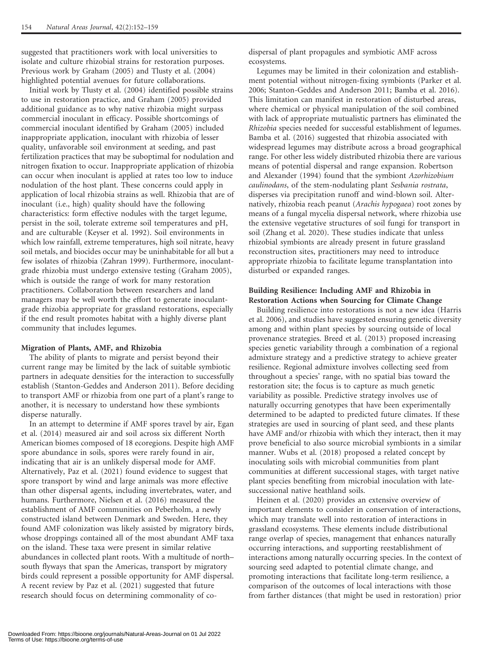suggested that practitioners work with local universities to isolate and culture rhizobial strains for restoration purposes. Previous work by Graham (2005) and Tlusty et al. (2004) highlighted potential avenues for future collaborations.

Initial work by Tlusty et al. (2004) identified possible strains to use in restoration practice, and Graham (2005) provided additional guidance as to why native rhizobia might surpass commercial inoculant in efficacy. Possible shortcomings of commercial inoculant identified by Graham (2005) included inappropriate application, inoculant with rhizobia of lesser quality, unfavorable soil environment at seeding, and past fertilization practices that may be suboptimal for nodulation and nitrogen fixation to occur. Inappropriate application of rhizobia can occur when inoculant is applied at rates too low to induce nodulation of the host plant. These concerns could apply in application of local rhizobia strains as well. Rhizobia that are of inoculant (i.e., high) quality should have the following characteristics: form effective nodules with the target legume, persist in the soil, tolerate extreme soil temperatures and pH, and are culturable (Keyser et al. 1992). Soil environments in which low rainfall, extreme temperatures, high soil nitrate, heavy soil metals, and biocides occur may be uninhabitable for all but a few isolates of rhizobia (Zahran 1999). Furthermore, inoculantgrade rhizobia must undergo extensive testing (Graham 2005), which is outside the range of work for many restoration practitioners. Collaboration between researchers and land managers may be well worth the effort to generate inoculantgrade rhizobia appropriate for grassland restorations, especially if the end result promotes habitat with a highly diverse plant community that includes legumes.

#### Migration of Plants, AMF, and Rhizobia

The ability of plants to migrate and persist beyond their current range may be limited by the lack of suitable symbiotic partners in adequate densities for the interaction to successfully establish (Stanton-Geddes and Anderson 2011). Before deciding to transport AMF or rhizobia from one part of a plant's range to another, it is necessary to understand how these symbionts disperse naturally.

In an attempt to determine if AMF spores travel by air, Egan et al. (2014) measured air and soil across six different North American biomes composed of 18 ecoregions. Despite high AMF spore abundance in soils, spores were rarely found in air, indicating that air is an unlikely dispersal mode for AMF. Alternatively, Paz et al. (2021) found evidence to suggest that spore transport by wind and large animals was more effective than other dispersal agents, including invertebrates, water, and humans. Furthermore, Nielsen et al. (2016) measured the establishment of AMF communities on Peberholm, a newly constructed island between Denmark and Sweden. Here, they found AMF colonization was likely assisted by migratory birds, whose droppings contained all of the most abundant AMF taxa on the island. These taxa were present in similar relative abundances in collected plant roots. With a multitude of north– south flyways that span the Americas, transport by migratory birds could represent a possible opportunity for AMF dispersal. A recent review by Paz et al. (2021) suggested that future research should focus on determining commonality of codispersal of plant propagules and symbiotic AMF across ecosystems.

Legumes may be limited in their colonization and establishment potential without nitrogen-fixing symbionts (Parker et al. 2006; Stanton-Geddes and Anderson 2011; Bamba et al. 2016). This limitation can manifest in restoration of disturbed areas, where chemical or physical manipulation of the soil combined with lack of appropriate mutualistic partners has eliminated the Rhizobia species needed for successful establishment of legumes. Bamba et al. (2016) suggested that rhizobia associated with widespread legumes may distribute across a broad geographical range. For other less widely distributed rhizobia there are various means of potential dispersal and range expansion. Robertson and Alexander (1994) found that the symbiont Azorhizobium caulinodans, of the stem-nodulating plant Sesbania rostrata, disperses via precipitation runoff and wind-blown soil. Alternatively, rhizobia reach peanut (Arachis hypogaea) root zones by means of a fungal mycelia dispersal network, where rhizobia use the extensive vegetative structures of soil fungi for transport in soil (Zhang et al. 2020). These studies indicate that unless rhizobial symbionts are already present in future grassland reconstruction sites, practitioners may need to introduce appropriate rhizobia to facilitate legume transplantation into disturbed or expanded ranges.

### Building Resilience: Including AMF and Rhizobia in Restoration Actions when Sourcing for Climate Change

Building resilience into restorations is not a new idea (Harris et al. 2006), and studies have suggested ensuring genetic diversity among and within plant species by sourcing outside of local provenance strategies. Breed et al. (2013) proposed increasing species genetic variability through a combination of a regional admixture strategy and a predictive strategy to achieve greater resilience. Regional admixture involves collecting seed from throughout a species' range, with no spatial bias toward the restoration site; the focus is to capture as much genetic variability as possible. Predictive strategy involves use of naturally occurring genotypes that have been experimentally determined to be adapted to predicted future climates. If these strategies are used in sourcing of plant seed, and these plants have AMF and/or rhizobia with which they interact, then it may prove beneficial to also source microbial symbionts in a similar manner. Wubs et al. (2018) proposed a related concept by inoculating soils with microbial communities from plant communities at different successional stages, with target native plant species benefiting from microbial inoculation with latesuccessional native heathland soils.

Heinen et al. (2020) provides an extensive overview of important elements to consider in conservation of interactions, which may translate well into restoration of interactions in grassland ecosystems. These elements include distributional range overlap of species, management that enhances naturally occurring interactions, and supporting reestablishment of interactions among naturally occurring species. In the context of sourcing seed adapted to potential climate change, and promoting interactions that facilitate long-term resilience, a comparison of the outcomes of local interactions with those from farther distances (that might be used in restoration) prior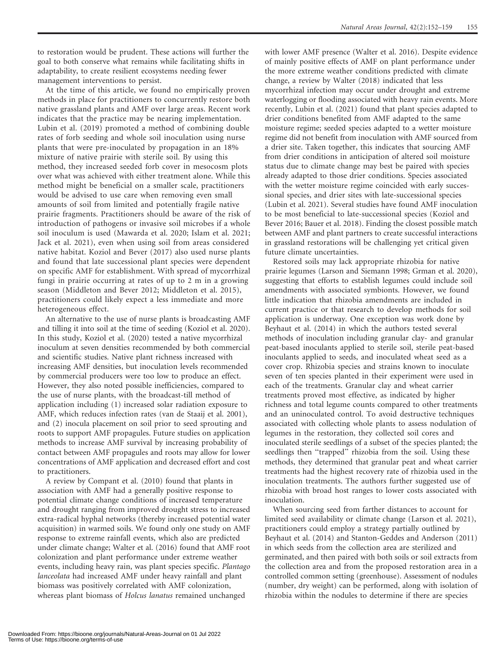to restoration would be prudent. These actions will further the goal to both conserve what remains while facilitating shifts in adaptability, to create resilient ecosystems needing fewer management interventions to persist.

At the time of this article, we found no empirically proven methods in place for practitioners to concurrently restore both native grassland plants and AMF over large areas. Recent work indicates that the practice may be nearing implementation. Lubin et al. (2019) promoted a method of combining double rates of forb seeding and whole soil inoculation using nurse plants that were pre-inoculated by propagation in an 18% mixture of native prairie with sterile soil. By using this method, they increased seeded forb cover in mesocosm plots over what was achieved with either treatment alone. While this method might be beneficial on a smaller scale, practitioners would be advised to use care when removing even small amounts of soil from limited and potentially fragile native prairie fragments. Practitioners should be aware of the risk of introduction of pathogens or invasive soil microbes if a whole soil inoculum is used (Mawarda et al. 2020; Islam et al. 2021; Jack et al. 2021), even when using soil from areas considered native habitat. Koziol and Bever (2017) also used nurse plants and found that late successional plant species were dependent on specific AMF for establishment. With spread of mycorrhizal fungi in prairie occurring at rates of up to 2 m in a growing season (Middleton and Bever 2012; Middleton et al. 2015), practitioners could likely expect a less immediate and more heterogeneous effect.

An alternative to the use of nurse plants is broadcasting AMF and tilling it into soil at the time of seeding (Koziol et al. 2020). In this study, Koziol et al. (2020) tested a native mycorrhizal inoculum at seven densities recommended by both commercial and scientific studies. Native plant richness increased with increasing AMF densities, but inoculation levels recommended by commercial producers were too low to produce an effect. However, they also noted possible inefficiencies, compared to the use of nurse plants, with the broadcast-till method of application including (1) increased solar radiation exposure to AMF, which reduces infection rates (van de Staaij et al. 2001), and (2) inocula placement on soil prior to seed sprouting and roots to support AMF propagules. Future studies on application methods to increase AMF survival by increasing probability of contact between AMF propagules and roots may allow for lower concentrations of AMF application and decreased effort and cost to practitioners.

A review by Compant et al. (2010) found that plants in association with AMF had a generally positive response to potential climate change conditions of increased temperature and drought ranging from improved drought stress to increased extra-radical hyphal networks (thereby increased potential water acquisition) in warmed soils. We found only one study on AMF response to extreme rainfall events, which also are predicted under climate change; Walter et al. (2016) found that AMF root colonization and plant performance under extreme weather events, including heavy rain, was plant species specific. Plantago lanceolata had increased AMF under heavy rainfall and plant biomass was positively correlated with AMF colonization, whereas plant biomass of Holcus lanatus remained unchanged

with lower AMF presence (Walter et al. 2016). Despite evidence of mainly positive effects of AMF on plant performance under the more extreme weather conditions predicted with climate change, a review by Walter (2018) indicated that less mycorrhizal infection may occur under drought and extreme waterlogging or flooding associated with heavy rain events. More recently, Lubin et al. (2021) found that plant species adapted to drier conditions benefited from AMF adapted to the same moisture regime; seeded species adapted to a wetter moisture regime did not benefit from inoculation with AMF sourced from a drier site. Taken together, this indicates that sourcing AMF from drier conditions in anticipation of altered soil moisture status due to climate change may best be paired with species already adapted to those drier conditions. Species associated with the wetter moisture regime coincided with early successional species, and drier sites with late-successional species (Lubin et al. 2021). Several studies have found AMF inoculation to be most beneficial to late-successional species (Koziol and Bever 2016; Bauer et al. 2018). Finding the closest possible match between AMF and plant partners to create successful interactions in grassland restorations will be challenging yet critical given future climate uncertainties.

Restored soils may lack appropriate rhizobia for native prairie legumes (Larson and Siemann 1998; Grman et al. 2020), suggesting that efforts to establish legumes could include soil amendments with associated symbionts. However, we found little indication that rhizobia amendments are included in current practice or that research to develop methods for soil application is underway. One exception was work done by Beyhaut et al. (2014) in which the authors tested several methods of inoculation including granular clay- and granular peat-based inoculants applied to sterile soil, sterile peat-based inoculants applied to seeds, and inoculated wheat seed as a cover crop. Rhizobia species and strains known to inoculate seven of ten species planted in their experiment were used in each of the treatments. Granular clay and wheat carrier treatments proved most effective, as indicated by higher richness and total legume counts compared to other treatments and an uninoculated control. To avoid destructive techniques associated with collecting whole plants to assess nodulation of legumes in the restoration, they collected soil cores and inoculated sterile seedlings of a subset of the species planted; the seedlings then "trapped" rhizobia from the soil. Using these methods, they determined that granular peat and wheat carrier treatments had the highest recovery rate of rhizobia used in the inoculation treatments. The authors further suggested use of rhizobia with broad host ranges to lower costs associated with inoculation.

When sourcing seed from farther distances to account for limited seed availability or climate change (Larson et al. 2021), practitioners could employ a strategy partially outlined by Beyhaut et al. (2014) and Stanton-Geddes and Anderson (2011) in which seeds from the collection area are sterilized and germinated, and then paired with both soils or soil extracts from the collection area and from the proposed restoration area in a controlled common setting (greenhouse). Assessment of nodules (number, dry weight) can be performed, along with isolation of rhizobia within the nodules to determine if there are species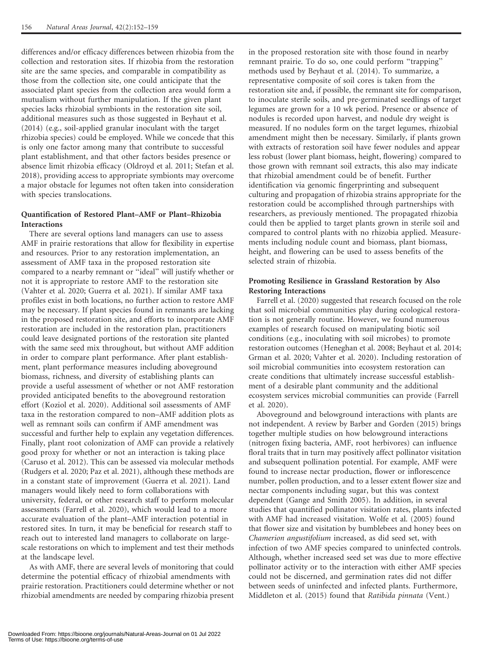differences and/or efficacy differences between rhizobia from the collection and restoration sites. If rhizobia from the restoration site are the same species, and comparable in compatibility as those from the collection site, one could anticipate that the associated plant species from the collection area would form a mutualism without further manipulation. If the given plant species lacks rhizobial symbionts in the restoration site soil, additional measures such as those suggested in Beyhaut et al. (2014) (e.g., soil-applied granular inoculant with the target rhizobia species) could be employed. While we concede that this is only one factor among many that contribute to successful plant establishment, and that other factors besides presence or absence limit rhizobia efficacy (Oldroyd et al. 2011; Stefan et al. 2018), providing access to appropriate symbionts may overcome a major obstacle for legumes not often taken into consideration with species translocations.

## Quantification of Restored Plant–AMF or Plant–Rhizobia Interactions

There are several options land managers can use to assess AMF in prairie restorations that allow for flexibility in expertise and resources. Prior to any restoration implementation, an assessment of AMF taxa in the proposed restoration site compared to a nearby remnant or ''ideal'' will justify whether or not it is appropriate to restore AMF to the restoration site (Vahter et al. 2020; Guerra et al. 2021). If similar AMF taxa profiles exist in both locations, no further action to restore AMF may be necessary. If plant species found in remnants are lacking in the proposed restoration site, and efforts to incorporate AMF restoration are included in the restoration plan, practitioners could leave designated portions of the restoration site planted with the same seed mix throughout, but without AMF addition in order to compare plant performance. After plant establishment, plant performance measures including aboveground biomass, richness, and diversity of establishing plants can provide a useful assessment of whether or not AMF restoration provided anticipated benefits to the aboveground restoration effort (Koziol et al. 2020). Additional soil assessments of AMF taxa in the restoration compared to non–AMF addition plots as well as remnant soils can confirm if AMF amendment was successful and further help to explain any vegetation differences. Finally, plant root colonization of AMF can provide a relatively good proxy for whether or not an interaction is taking place (Caruso et al. 2012). This can be assessed via molecular methods (Rudgers et al. 2020; Paz et al. 2021), although these methods are in a constant state of improvement (Guerra et al. 2021). Land managers would likely need to form collaborations with university, federal, or other research staff to perform molecular assessments (Farrell et al. 2020), which would lead to a more accurate evaluation of the plant–AMF interaction potential in restored sites. In turn, it may be beneficial for research staff to reach out to interested land managers to collaborate on largescale restorations on which to implement and test their methods at the landscape level.

As with AMF, there are several levels of monitoring that could determine the potential efficacy of rhizobial amendments with prairie restoration. Practitioners could determine whether or not rhizobial amendments are needed by comparing rhizobia present in the proposed restoration site with those found in nearby remnant prairie. To do so, one could perform ''trapping'' methods used by Beyhaut et al. (2014). To summarize, a representative composite of soil cores is taken from the restoration site and, if possible, the remnant site for comparison, to inoculate sterile soils, and pre-germinated seedlings of target legumes are grown for a 10 wk period. Presence or absence of nodules is recorded upon harvest, and nodule dry weight is measured. If no nodules form on the target legumes, rhizobial amendment might then be necessary. Similarly, if plants grown with extracts of restoration soil have fewer nodules and appear less robust (lower plant biomass, height, flowering) compared to those grown with remnant soil extracts, this also may indicate that rhizobial amendment could be of benefit. Further identification via genomic fingerprinting and subsequent culturing and propagation of rhizobia strains appropriate for the restoration could be accomplished through partnerships with researchers, as previously mentioned. The propagated rhizobia could then be applied to target plants grown in sterile soil and compared to control plants with no rhizobia applied. Measurements including nodule count and biomass, plant biomass, height, and flowering can be used to assess benefits of the selected strain of rhizobia.

## Promoting Resilience in Grassland Restoration by Also Restoring Interactions

Farrell et al. (2020) suggested that research focused on the role that soil microbial communities play during ecological restoration is not generally routine. However, we found numerous examples of research focused on manipulating biotic soil conditions (e.g., inoculating with soil microbes) to promote restoration outcomes (Heneghan et al. 2008; Beyhaut et al. 2014; Grman et al. 2020; Vahter et al. 2020). Including restoration of soil microbial communities into ecosystem restoration can create conditions that ultimately increase successful establishment of a desirable plant community and the additional ecosystem services microbial communities can provide (Farrell et al. 2020).

Aboveground and belowground interactions with plants are not independent. A review by Barber and Gorden (2015) brings together multiple studies on how belowground interactions (nitrogen fixing bacteria, AMF, root herbivores) can influence floral traits that in turn may positively affect pollinator visitation and subsequent pollination potential. For example, AMF were found to increase nectar production, flower or inflorescence number, pollen production, and to a lesser extent flower size and nectar components including sugar, but this was context dependent (Gange and Smith 2005). In addition, in several studies that quantified pollinator visitation rates, plants infected with AMF had increased visitation. Wolfe et al. (2005) found that flower size and visitation by bumblebees and honey bees on Chamerion angustifolium increased, as did seed set, with infection of two AMF species compared to uninfected controls. Although, whether increased seed set was due to more effective pollinator activity or to the interaction with either AMF species could not be discerned, and germination rates did not differ between seeds of uninfected and infected plants. Furthermore, Middleton et al. (2015) found that Ratibida pinnata (Vent.)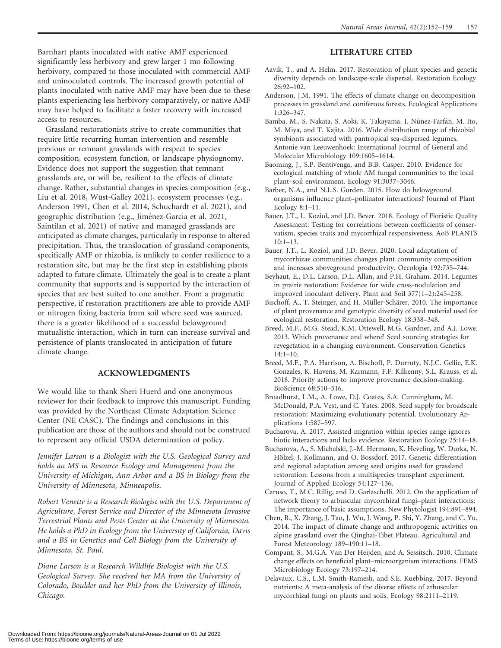Barnhart plants inoculated with native AMF experienced significantly less herbivory and grew larger 1 mo following herbivory, compared to those inoculated with commercial AMF and uninoculated controls. The increased growth potential of plants inoculated with native AMF may have been due to these plants experiencing less herbivory comparatively, or native AMF may have helped to facilitate a faster recovery with increased access to resources.

Grassland restorationists strive to create communities that require little recurring human intervention and resemble previous or remnant grasslands with respect to species composition, ecosystem function, or landscape physiognomy. Evidence does not support the suggestion that remnant grasslands are, or will be, resilient to the effects of climate change. Rather, substantial changes in species composition (e.g., Liu et al. 2018, Wüst-Galley 2021), ecosystem processes (e.g., Anderson 1991, Chen et al. 2014, Schuchardt et al. 2021), and geographic distribution (e.g., Jiménez-Garcia et al. 2021, Saintilan et al. 2021) of native and managed grasslands are anticipated as climate changes, particularly in response to altered precipitation. Thus, the translocation of grassland components, specifically AMF or rhizobia, is unlikely to confer resilience to a restoration site, but may be the first step in establishing plants adapted to future climate. Ultimately the goal is to create a plant community that supports and is supported by the interaction of species that are best suited to one another. From a pragmatic perspective, if restoration practitioners are able to provide AMF or nitrogen fixing bacteria from soil where seed was sourced, there is a greater likelihood of a successful belowground mutualistic interaction, which in turn can increase survival and persistence of plants translocated in anticipation of future climate change.

## ACKNOWLEDGMENTS

We would like to thank Sheri Huerd and one anonymous reviewer for their feedback to improve this manuscript. Funding was provided by the Northeast Climate Adaptation Science Center (NE CASC). The findings and conclusions in this publication are those of the authors and should not be construed to represent any official USDA determination of policy.

Jennifer Larson is a Biologist with the U.S. Geological Survey and holds an MS in Resource Ecology and Management from the University of Michigan, Ann Arbor and a BS in Biology from the University of Minnesota, Minneapolis.

Robert Venette is a Research Biologist with the U.S. Department of Agriculture, Forest Service and Director of the Minnesota Invasive Terrestrial Plants and Pests Center at the University of Minnesota. He holds a PhD in Ecology from the University of California, Davis and a BS in Genetics and Cell Biology from the University of Minnesota, St. Paul.

Diane Larson is a Research Wildlife Biologist with the U.S. Geological Survey. She received her MA from the University of Colorado, Boulder and her PhD from the University of Illinois, Chicago.

### LITERATURE CITED

- Aavik, T., and A. Helm. 2017. Restoration of plant species and genetic diversity depends on landscape-scale dispersal. Restoration Ecology 26:92–102.
- Anderson, J.M. 1991. The effects of climate change on decomposition processes in grassland and coniferous forests. Ecological Applications 1:326–347.
- Bamba, M., S. Nakata, S. Aoki, K. Takayama, J. Núñez-Farfán, M. Ito, M. Miya, and T. Kajita. 2016. Wide distribution range of rhizobial symbionts associated with pantropical sea-dispersed legumes. Antonie van Leeuwenhoek: International Journal of General and Molecular Microbiology 109:1605–1614.
- Baoming, J., S.P. Bentivenga, and B.B. Casper. 2010. Evidence for ecological matching of whole AM fungal communities to the local plant–soil environment. Ecology 91:3037–3046.
- Barber, N.A., and N.L.S. Gorden. 2015. How do belowground organisms influence plant–pollinator interactions? Journal of Plant Ecology 8:1–11.
- Bauer, J.T., L. Koziol, and J.D. Bever. 2018. Ecology of Floristic Quality Assessment: Testing for correlations between coefficients of conservatism, species traits and mycorrhizal responsiveness. AoB PLANTS  $10:1-13$ .
- Bauer, J.T., L. Koziol, and J.D. Bever. 2020. Local adaptation of mycorrhizae communities changes plant community composition and increases aboveground productivity. Oecologia 192:735–744.
- Beyhaut, E., D.L. Larson, D.L. Allan, and P.H. Graham. 2014. Legumes in prairie restoration: Evidence for wide cross-nodulation and improved inoculant delivery. Plant and Soil 377(1–2):245–258.
- Bischoff, A., T. Steinger, and H. Müller-Schärer. 2010. The importance of plant provenance and genotypic diversity of seed material used for ecological restoration. Restoration Ecology 18:338–348.
- Breed, M.F., M.G. Stead, K.M. Ottewell, M.G. Gardner, and A.J. Lowe. 2013. Which provenance and where? Seed sourcing strategies for revegetation in a changing environment. Conservation Genetics  $14:1-10.$
- Breed, M.F., P.A. Harrison, A. Bischoff, P. Durruty, N.J.C. Gellie, E.K. Gonzales, K. Havens, M. Karmann, F.F. Kilkenny, S.L. Krauss, et al. 2018. Priority actions to improve provenance decision-making. BioScience 68:510–516.
- Broadhurst, L.M., A. Lowe, D.J. Coates, S.A. Cunningham, M. McDonald, P.A. Vest, and C. Yates. 2008. Seed supply for broadscale restoration: Maximizing evolutionary potential. Evolutionary Applications 1:587–597.
- Bucharova, A. 2017. Assisted migration within species range ignores biotic interactions and lacks evidence. Restoration Ecology 25:14–18.
- Bucharova, A., S. Michalski, J.-M. Hermann, K. Heveling, W. Durka, N. Hölzel, J. Kollmann, and O. Bossdorf. 2017. Genetic differentiation and regional adaptation among seed origins used for grassland restoration: Lessons from a multispecies transplant experiment. Journal of Applied Ecology 54:127–136.
- Caruso, T., M.C. Rillig, and D. Garlaschelli. 2012. On the application of network theory to arbuscular mycorrhizal fungi–plant interactions: The importance of basic assumptions. New Phytologist 194:891–894.
- Chen, B., X. Zhang, J. Tao, J. Wu, J. Wang, P. Shi, Y. Zhang, and C. Yu. 2014. The impact of climate change and anthropogenic activities on alpine grassland over the Qinghai-Tibet Plateau. Agricultural and Forest Meteorology 189–190:11–18.
- Compant, S., M.G.A. Van Der Heijden, and A. Sessitsch. 2010. Climate change effects on beneficial plant–microorganism interactions. FEMS Microbiology Ecology 73:197–214.
- Delavaux, C.S., L.M. Smith-Ramesh, and S.E. Kuebbing. 2017. Beyond nutrients: A meta-analysis of the diverse effects of arbuscular mycorrhizal fungi on plants and soils. Ecology 98:2111–2119.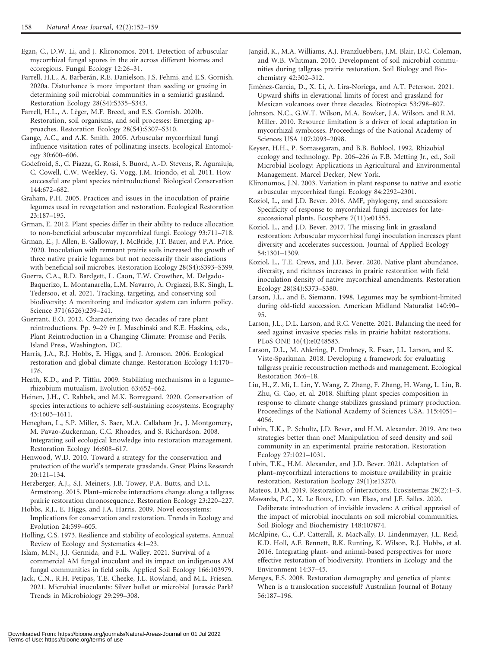- Egan, C., D.W. Li, and J. Klironomos. 2014. Detection of arbuscular mycorrhizal fungal spores in the air across different biomes and ecoregions. Fungal Ecology 12:26–31.
- Farrell, H.L., A. Barberán, R.E. Danielson, J.S. Fehmi, and E.S. Gornish. 2020a. Disturbance is more important than seeding or grazing in determining soil microbial communities in a semiarid grassland. Restoration Ecology 28(S4):S335–S343.
- Farrell, H.L., A. Léger, M.F. Breed, and E.S. Gornish. 2020b. Restoration, soil organisms, and soil processes: Emerging approaches. Restoration Ecology 28(S4):S307–S310.
- Gange, A.C., and A.K. Smith. 2005. Arbuscular mycorrhizal fungi influence visitation rates of pollinating insects. Ecological Entomology 30:600–606.
- Godefroid, S., C. Piazza, G. Rossi, S. Buord, A.-D. Stevens, R. Aguraiuja, C. Cowell, C.W. Weekley, G. Vogg, J.M. Iriondo, et al. 2011. How successful are plant species reintroductions? Biological Conservation 144:672–682.
- Graham, P.H. 2005. Practices and issues in the inoculation of prairie legumes used in revegetation and restoration. Ecological Restoration 23:187–195.
- Grman, E. 2012. Plant species differ in their ability to reduce allocation to non-beneficial arbuscular mycorrhizal fungi. Ecology 93:711–718.
- Grman, E., J. Allen, E. Galloway, J. McBride, J.T. Bauer, and P.A. Price. 2020. Inoculation with remnant prairie soils increased the growth of three native prairie legumes but not necessarily their associations with beneficial soil microbes. Restoration Ecology 28(S4):S393–S399.
- Guerra, C.A., R.D. Bardgett, L. Caon, T.W. Crowther, M. Delgado-Baquerizo, L. Montanarella, L.M. Navarro, A. Orgiazzi, B.K. Singh, L. Tedersoo, et al. 2021. Tracking, targeting, and conserving soil biodiversity: A monitoring and indicator system can inform policy. Science 371(6526):239–241.
- Guerrant, E.O. 2012. Characterizing two decades of rare plant reintroductions. Pp. 9–29 in J. Maschinski and K.E. Haskins, eds., Plant Reintroduction in a Changing Climate: Promise and Perils. Island Press, Washington, DC.
- Harris, J.A., R.J. Hobbs, E. Higgs, and J. Aronson. 2006. Ecological restoration and global climate change. Restoration Ecology 14:170– 176.
- Heath, K.D., and P. Tiffin. 2009. Stabilizing mechanisms in a legume– rhizobium mutualism. Evolution 63:652–662.
- Heinen, J.H., C. Rahbek, and M.K. Borregaard. 2020. Conservation of species interactions to achieve self-sustaining ecosystems. Ecography 43:1603–1611.
- Heneghan, L., S.P. Miller, S. Baer, M.A. Callaham Jr., J. Montgomery, M. Pavao-Zuckerman, C.C. Rhoades, and S. Richardson. 2008. Integrating soil ecological knowledge into restoration management. Restoration Ecology 16:608–617.
- Henwood, W.D. 2010. Toward a strategy for the conservation and protection of the world's temperate grasslands. Great Plains Research 20:121–134.
- Herzberger, A.J., S.J. Meiners, J.B. Towey, P.A. Butts, and D.L. Armstrong. 2015. Plant–microbe interactions change along a tallgrass prairie restoration chronosequence. Restoration Ecology 23:220–227.
- Hobbs, R.J., E. Higgs, and J.A. Harris. 2009. Novel ecosystems: Implications for conservation and restoration. Trends in Ecology and Evolution 24:599–605.
- Holling, C.S. 1973. Resilience and stability of ecological systems. Annual Review of Ecology and Systematics 4:1–23.
- Islam, M.N., J.J. Germida, and F.L. Walley. 2021. Survival of a commercial AM fungal inoculant and its impact on indigenous AM fungal communities in field soils. Applied Soil Ecology 166:103979.
- Jack, C.N., R.H. Petipas, T.E. Cheeke, J.L. Rowland, and M.L. Friesen. 2021. Microbial inoculants: Silver bullet or microbial Jurassic Park? Trends in Microbiology 29:299–308.
- Jangid, K., M.A. Williams, A.J. Franzluebbers, J.M. Blair, D.C. Coleman, and W.B. Whitman. 2010. Development of soil microbial communities during tallgrass prairie restoration. Soil Biology and Biochemistry 42:302–312.
- Jiménez-García, D., X. Li, A. Lira-Noriega, and A.T. Peterson. 2021. Upward shifts in elevational limits of forest and grassland for Mexican volcanoes over three decades. Biotropica 53:798–807.
- Johnson, N.C., G.W.T. Wilson, M.A. Bowker, J.A. Wilson, and R.M. Miller. 2010. Resource limitation is a driver of local adaptation in mycorrhizal symbioses. Proceedings of the National Academy of Sciences USA 107:2093–2098.
- Keyser, H.H., P. Somasegaran, and B.B. Bohlool. 1992. Rhizobial ecology and technology. Pp. 206–226 in F.B. Metting Jr., ed., Soil Microbial Ecology: Applications in Agricultural and Environmental Management. Marcel Decker, New York.
- Klironomos, J.N. 2003. Variation in plant response to native and exotic arbuscular mycorrhizal fungi. Ecology 84:2292–2301.
- Koziol, L., and J.D. Bever. 2016. AMF, phylogeny, and succession: Specificity of response to mycorrhizal fungi increases for latesuccessional plants. Ecosphere 7(11):e01555.
- Koziol, L., and J.D. Bever. 2017. The missing link in grassland restoration: Arbuscular mycorrhizal fungi inoculation increases plant diversity and accelerates succession. Journal of Applied Ecology 54:1301–1309.
- Koziol, L., T.E. Crews, and J.D. Bever. 2020. Native plant abundance, diversity, and richness increases in prairie restoration with field inoculation density of native mycorrhizal amendments. Restoration Ecology 28(S4):S373–S380.
- Larson, J.L., and E. Siemann. 1998. Legumes may be symbiont-limited during old-field succession. American Midland Naturalist 140:90– 95.
- Larson, J.L., D.L. Larson, and R.C. Venette. 2021. Balancing the need for seed against invasive species risks in prairie habitat restorations. PLoS ONE 16(4):e0248583.
- Larson, D.L., M. Ahlering, P. Drobney, R. Esser, J.L. Larson, and K. Viste-Sparkman. 2018. Developing a framework for evaluating tallgrass prairie reconstruction methods and management. Ecological Restoration 36:6–18.
- Liu, H., Z. Mi, L. Lin, Y. Wang, Z. Zhang, F. Zhang, H. Wang, L. Liu, B. Zhu, G. Cao, et. al. 2018. Shifting plant species composition in response to climate change stabilizes grassland primary production. Proceedings of the National Academy of Sciences USA. 115:4051– 4056.
- Lubin, T.K., P. Schultz, J.D. Bever, and H.M. Alexander. 2019. Are two strategies better than one? Manipulation of seed density and soil community in an experimental prairie restoration. Restoration Ecology 27:1021–1031.
- Lubin, T.K., H.M. Alexander, and J.D. Bever. 2021. Adaptation of plant–mycorrhizal interactions to moisture availability in prairie restoration. Restoration Ecology 29(1):e13270.

Mateos, D.M. 2019. Restoration of interactions. Ecosistemas 28(2):1–3.

- Mawarda, P.C., X. Le Roux, J.D. van Elsas, and J.F. Salles. 2020. Deliberate introduction of invisible invaders: A critical appraisal of the impact of microbial inoculants on soil microbial communities. Soil Biology and Biochemistry 148:107874.
- McAlpine, C., C.P. Catterall, R. MacNally, D. Lindenmayer, J.L. Reid, K.D. Holl, A.F. Bennett, R.K. Runting, K. Wilson, R.J. Hobbs, et al. 2016. Integrating plant- and animal-based perspectives for more effective restoration of biodiversity. Frontiers in Ecology and the Environment 14:37–45.
- Menges, E.S. 2008. Restoration demography and genetics of plants: When is a translocation successful? Australian Journal of Botany 56:187–196.